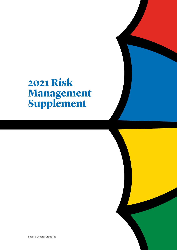# **2021 Risk Management Supplement**

Legal & General Group Plc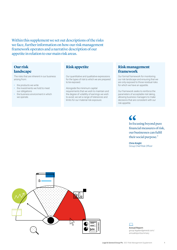Within this supplement we set out descriptions of the risks we face, further information on how our risk management framework operates and a narrative description of our appetite in relation to our main risk areas.

### **Our risk landscape**

The risks that are inherent in our business arising from:

- the products we write
- the investments we hold to meet our obligations
- the business environment in which we operate.

**Risk appetite** 

Our quantitative and qualitative expressions for the types of risk to which we are prepared to be exposed.

Alongside the minimum capital requirements that we wish to maintain and the degree of volatility of earnings we wish to avoid, we set a range of tolerances and limits for our material risk exposure.

### **Risk management framework**

Our formal framework for monitoring our risk landscape and ensuring that we are only exposed to those residual risks for which we have an appetite.

Our framework seeks to reinforce the parameters of acceptable risk taking, allowing business managers to make decisions that are consistent with our risk appetite.

> $\alpha$ In focusing beyond pure financial measures of risk, our businesses can fulfil their social purpose."

Chris Knight Group Chief Risk Officer



**Annual Report:**  group.legalandgeneral.com/ annualreportsummary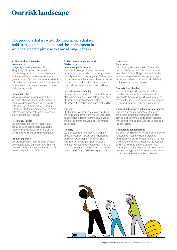## **Our risk landscape**

The products that we write, the investments that we hold to meet our obligations and the environment in which we operate give rise to a broad range of risks.

### **1. The products we write Insurance risk**

### Longevity, mortality and morbidity

The pricing of long-term life insurance business requires assumptions to be made for future trends in the life expectancy and general health of those that we insure; with the risk that actual experience may diverge from our assumptions, requiring an increase in reserves and reducing profits.

### Life catastrophe

We also make assumptions about the likelihood of catastrophic events that could cause a widespread loss of life or disability within the pool of the lives that we insure; with the risk that future events could be more extreme than those that we have assessed in determining our reserves.

### Persistency (lapse)

We are exposed to the risk that product acquisition and set up costs may not be recovered if policies lapse earlier than we anticipated within our pricing assumptions.

### Product expenses

Our product pricing must also take account of the future costs of product servicing, with deviations in actual costs presenting the risk of reduced product profitability.

### **2. The investments we hold Market risks**

### Investment performance

We invest in a range of investment assets including equities, bonds and property to meet the obligations from the long-term life insurance business that we write; however, there is a risk that the income and value of these investment assets may under-perform relative to required targets.

### Interest rates and inflation

Interest rates and inflation can impact the value of the investment assets we hold to meet our obligations, as well as the value of the obligations themselves, impacting profitability.

### **Currency**

Fluctuations in exchange rates can vary both the value and income from investment assets denominated in foreign currencies, as well as the sterling profits and value of our overseas businesses.

### Property

We are exposed to fluctuations in property prices through our investments in residential and commercial property development. Additionally, lifetime mortgages include a no-negative equity guarantee, which transfers to Legal & General an exposure to loss should house price inflation fall below expectations.

#### **Credit risks** Bond default

We hold a significant portfolio of corporate bonds to back our pension risk transfer and annuities business. The portfolio is diversified across a range of sectors and geographies, but inherently is exposed to the risk of default, that may result in financial loss.

### Property direct lending

We also hold property lending and sale and leaseback investments and are inherently exposed to the risk of default by a borrower or tenant, although we seek to protect our interests by taking security over underlying property.

### Banks and the issuers of financial instruments

Banking and money market counterparties, the issuers of financial instruments and the providers of settlement and custody services may default on their obligations to us, resulting in financial loss.

### Reinsurance counterparties

Although not directly an investment risk, in using reinsurance in our annuity and protection businesses, we are also exposed to the risk that a reinsurer may default, impacting the payment of claims to us and other obligations, and requiring us to either seek alternative reinsurance arrangements, potentially on less advantageous terms, or bear the reinsured risks directly.

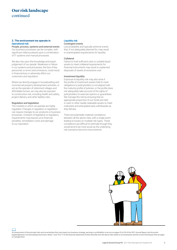## **Our risk landscape**  continued

### **3. The environment we operate in Operational risk**

People, process, systems and external events Our business processes can be complex, with significant reliance placed upon a combination of IT systems and manual processes.

We also rely upon the knowledge and expert judgement of our people. Weakness or failure in our systems and processes, the loss of key personnel, or errors and omissions, could result in financial loss or adversely affect our customers and reputation.

Where we directly engage in housebuilding and commercial property development activities, or act as the operator of retirement villages and affordable homes, we may also be exposed to construction risk, including health and safety, project delivery and other liability risks.

### Regulation and legislation

The markets in which we operate are highly regulated. Changes in regulation or legislation can require changes to our products or business processes. A breach of legislative or regulatory requirements may expose us to financial penalties, remediation costs and damage to our reputation.

### **Liquidity risk** Contingent events

Low probability and typically extreme events that, if not adequately planned for, may result in unanticipated requirements for liquidity.

### Collateral

Failure to hold sufficient cash or suitable liquid assets to meet collateral requirements for financial instruments may result in unplanned disposals of assets at excessive cost.

### Investment liquidity

Exposure to liquidity risk may also arise if the profile of investment assets held to meet obligations to policyholders is not aligned with the maturity profile of policies, or the profile does not adequately take account of the rights of policyholders to exercise options or guarantees. We manage the risk by ensuring that an appropriate proportion of our funds are held in cash or other readily realisable assets to meet maturities and anticipated early withdrawals as they fall due.

There are potentially material correlations between all the above risks, with a single event leading to losses on multiple risk types. These correlations are difficult to estimate though they would tend to be more acute as the underlying risk scenarios become more extreme.



An assessment of the principal risks and uncertainties that may impact our business strategy, earnings or profitability is set out on pages 52 to 59 of the 2021 Annual Report and Accounts legalandgeneral.com/annualreportsummary. Notes 7 and 15 to 17 to the financial statements further describe how the above risks relate to our businesses and the control techniques that we apply to manage them.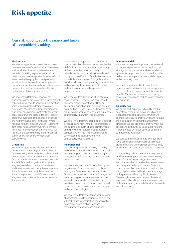## **Risk appetite**

## Our risk appetite sets the ranges and limits of acceptable risk taking.

### **Market risk**

We have an annetite for market risk within our pensions risk transfer and annuities businesses, and our shareholder funds, where we are rewarded for taking exposure to the risk. In particular, we have an appetite for selected risks associated with equity, bond and property investments as the asset class may provide higher investment returns relative to the risk-free rate over the medium term and enable the optimisation of risk-adjusted returns.

We have limited tolerance, however, for significant losses or volatility from these market risks and so we seek to set clear investment risk limits which must be adhered to by group businesses. We also have limited tolerance for significant mismatches in interest rates where asset cashflows are expected to cover liability cashflows over a long time horizon, and risks arising from fluctuations in inflation. Where hedging instruments exist, we seek to remove both these risks. Similarly, we have a limited tolerance for developed country currency risk relative to the base currency of our investment assets and will selectively hedge these currency risks.

### **Credit risk**

We have an appetite for selected credit risk to the extent that accepting this risk enables us to optimise policyholder and group risk-adjusted returns. In particular, default risk is an inherent factor in bond investments. However, we have limited tolerance for significant losses from single or interrelated counterparty failures, and therefore set credit rating-based exposure limits for investment portfolios as well as limits on exposures to specific sectors and single counterparties, and trade out positions if appropriate.

We also have an appetite for property lending counterparty risk where we can assess the risk of default on loan repayments and the taking of the risk enables us to optimise group risk-adjusted returns, including those derived through a diversification of credit risk. We have limited tolerance, however, for significant loss from the failure of property lending counterparties and require that lending is subject to formal underwriting and secured on physical property assets.

We recognise that there is an inherent risk of reinsurer default. However, we have limited tolerance for significant financial loss or operational disruption from a reinsurer default event and we will seek to set and monitor credit risk-derived exposure limits for each reinsurance counterparty with which we do business.

We have limited tolerance for the risk of default by banking and money market counterparties, the issuers of derivative financial instruments, or the providers of settlement and custody services, and will seek to actively manage all such exposures against our defined counterparty exposure limits.

#### **Insurance risk**

We have an appetite for longevity, mortality and morbidity risk where we expect to add value by accepting such risks, and have the capability to assess, price for and monitor trends in the risks assumed.

We have a low tolerance for not achieving our target reward for risk as a result of policies lapsing at a faster rate than that anticipated. Similarly, we have a low tolerance for negative variances on product expense assumptions. We seek to manage both these risks by investigations and monitoring experience and reflect the conclusions in our product design and reserving strategies.

We have limited tolerance for an accumulation of catastrophe risk by geographic location and will seek to use a combination of underwriting, geographic concentration limits and reassurance to manage such exposures.

### **Operational risk**

We accept a degree of exposure to operational risk where exposures arise as a result of core strategic activity, however, we have very limited appetite for large operational losses due to the likely customer impact, reputational damage and opportunity costs.

We aim to implement effective controls to reduce operational risk exposures except where the costs of such controls exceed the expected benefits. We have no tolerance for propertyrelated safety risks and seek to closely manage our exposures.

### **Liquidity risk**

We do not seek exposure to liquidity risk, but accept that a degree of exposure will arise as a consequence of the markets in which we operate, the products that we write and through the execution of investment management strategies. We seek to ensure that we meet our obligations as they fall due and avoid incurring material losses on forced asset sales in order to meet those obligations.

We seek to maintain at a group level sufficient liquid assets and standby facilities to meet a prudent estimate of the group's cash outflows, as identified through annual planning processes.

Direct lending, sale and leaseback investments, and lifetime mortgage business are inherently illiquid forms of investment, with limited secondary markets to realise the value of assets outside agreed redemption terms. Given the illiquid nature of our annuity and other liabilities. the group is able and willing to take advantage of the premium offered by illiquid assets. The group, however, sets limits on the overall exposure to illiquid investments, taking account of the nature and type of liabilities that the assets are held to meet.